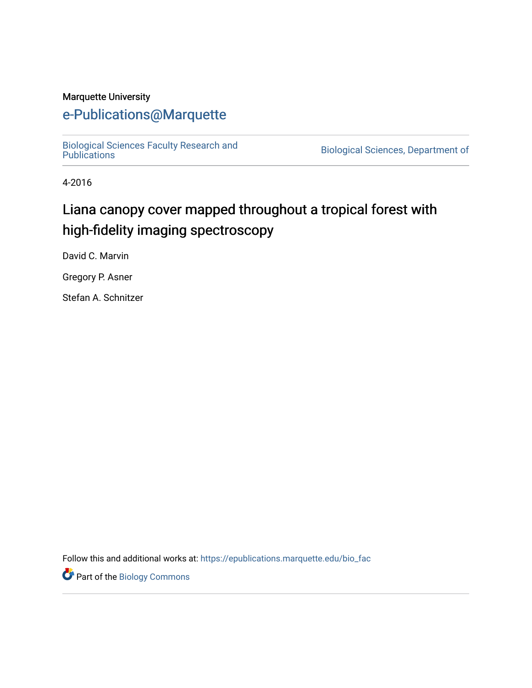#### Marquette University

# [e-Publications@Marquette](https://epublications.marquette.edu/)

[Biological Sciences Faculty Research and](https://epublications.marquette.edu/bio_fac) 

Biological Sciences, Department of

4-2016

# Liana canopy cover mapped throughout a tropical forest with high-fidelity imaging spectroscopy

David C. Marvin

Gregory P. Asner

Stefan A. Schnitzer

Follow this and additional works at: [https://epublications.marquette.edu/bio\\_fac](https://epublications.marquette.edu/bio_fac?utm_source=epublications.marquette.edu%2Fbio_fac%2F717&utm_medium=PDF&utm_campaign=PDFCoverPages) 

**Part of the Biology Commons**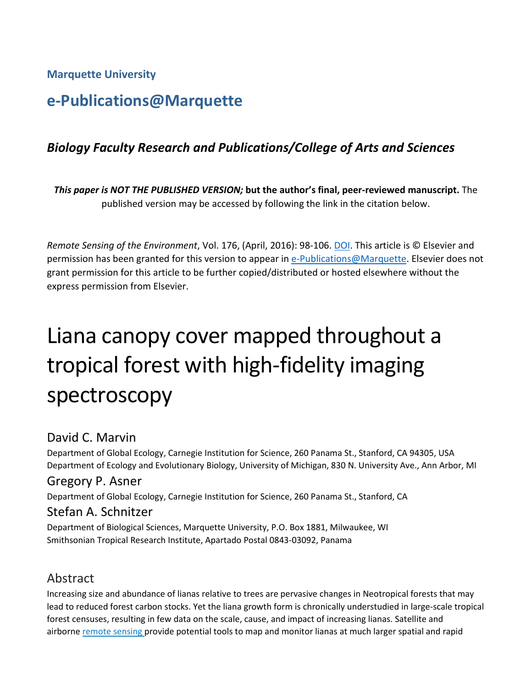**Marquette University**

# **e-Publications@Marquette**

# *Biology Faculty Research and Publications/College of Arts and Sciences*

*This paper is NOT THE PUBLISHED VERSION;* **but the author's final, peer-reviewed manuscript.** The published version may be accessed by following the link in the citation below.

*Remote Sensing of the Environment*, Vol. 176, (April, 2016): 98-106. DOI. This article is © Elsevier and permission has been granted for this version to appear in [e-Publications@Marquette.](http://epublications.marquette.edu/) Elsevier does not grant permission for this article to be further copied/distributed or hosted elsewhere without the express permission from Elsevier.

# Liana canopy cover mapped throughout a tropical forest with high-fidelity imaging spectroscopy

# David C. Marvin

Department of Global Ecology, Carnegie Institution for Science, 260 Panama St., Stanford, CA 94305, USA Department of Ecology and Evolutionary Biology, University of Michigan, 830 N. University Ave., Ann Arbor, MI

# Gregory P. Asner

Department of Global Ecology, Carnegie Institution for Science, 260 Panama St., Stanford, CA

# Stefan A. Schnitzer

Department of Biological Sciences, Marquette University, P.O. Box 1881, Milwaukee, WI Smithsonian Tropical Research Institute, Apartado Postal 0843-03092, Panama

# Abstract

Increasing size and abundance of lianas relative to trees are pervasive changes in Neotropical forests that may lead to reduced forest carbon stocks. Yet the liana growth form is chronically understudied in large-scale tropical forest censuses, resulting in few data on the scale, cause, and impact of increasing lianas. Satellite and airborne [remote sensing](https://www.sciencedirect.com/topics/earth-and-planetary-sciences/remote-sensing) provide potential tools to map and monitor lianas at much larger spatial and rapid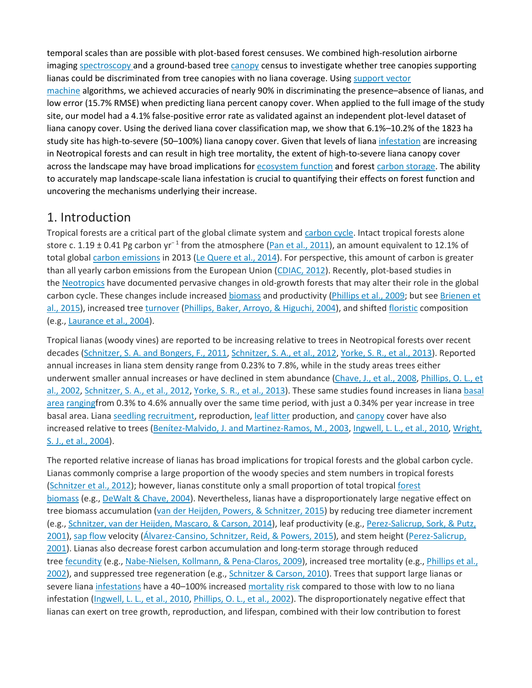temporal scales than are possible with plot-based forest censuses. We combined high-resolution airborne imaging [spectroscopy](https://www.sciencedirect.com/topics/earth-and-planetary-sciences/spectroscopy) and a ground-based tree [canopy](https://www.sciencedirect.com/topics/earth-and-planetary-sciences/canopy) census to investigate whether tree canopies supporting lianas could be discriminated from tree canopies with no liana coverage. Using [support vector](https://www.sciencedirect.com/topics/earth-and-planetary-sciences/support-vector-machine)  [machine](https://www.sciencedirect.com/topics/earth-and-planetary-sciences/support-vector-machine) algorithms, we achieved accuracies of nearly 90% in discriminating the presence–absence of lianas, and low error (15.7% RMSE) when predicting liana percent canopy cover. When applied to the full image of the study site, our model had a 4.1% false-positive error rate as validated against an independent plot-level dataset of liana canopy cover. Using the derived liana cover classification map, we show that 6.1%–10.2% of the 1823 ha study site has high-to-severe (50–100%) liana canopy cover. Given that levels of liana [infestation](https://www.sciencedirect.com/topics/earth-and-planetary-sciences/infestation) are increasing in Neotropical forests and can result in high tree mortality, the extent of high-to-severe liana canopy cover across the landscape may have broad implications for [ecosystem function](https://www.sciencedirect.com/topics/earth-and-planetary-sciences/ecosystem-function) and forest [carbon storage.](https://www.sciencedirect.com/topics/earth-and-planetary-sciences/carbon-sequestration) The ability to accurately map landscape-scale liana infestation is crucial to quantifying their effects on forest function and uncovering the mechanisms underlying their increase.

# 1. Introduction

Tropical forests are a critical part of the global climate system and [carbon cycle.](https://www.sciencedirect.com/topics/earth-and-planetary-sciences/carbon-cycle) Intact tropical forests alone store c. 1.19 ± 0.41 Pg carbon yr<sup>−1</sup> from the atmosphere [\(Pan et al., 2011\)](https://www.sciencedirect.com/science/article/pii/S0034425715302492#bb0210), an amount equivalent to 12.1% of total global [carbon emissions](https://www.sciencedirect.com/topics/earth-and-planetary-sciences/carbon-emission) in 2013 [\(Le Quere et al., 2014\)](https://www.sciencedirect.com/science/article/pii/S0034425715302492#bb0180). For perspective, this amount of carbon is greater than all yearly carbon emissions from the European Union [\(CDIAC, 2012\)](https://www.sciencedirect.com/science/article/pii/S0034425715302492#bb0060). Recently, plot-based studies in the [Neotropics](https://www.sciencedirect.com/topics/earth-and-planetary-sciences/neotropics) have documented pervasive changes in old-growth forests that may alter their role in the global carbon cycle. These changes include increased [biomass](https://www.sciencedirect.com/topics/earth-and-planetary-sciences/biomass) and productivity [\(Phillips et al., 2009;](https://www.sciencedirect.com/science/article/pii/S0034425715302492#bb0230) but see [Brienen et](https://www.sciencedirect.com/science/article/pii/S0034425715302492#bb0050)  [al., 2015\)](https://www.sciencedirect.com/science/article/pii/S0034425715302492#bb0050), increased tree [turnover](https://www.sciencedirect.com/topics/earth-and-planetary-sciences/turnover) [\(Phillips, Baker, Arroyo, & Higuchi, 2004\)](https://www.sciencedirect.com/science/article/pii/S0034425715302492#bb0235), and shifted [floristic](https://www.sciencedirect.com/topics/earth-and-planetary-sciences/floristics) composition (e.g., [Laurance et al., 2004\)](https://www.sciencedirect.com/science/article/pii/S0034425715302492#bb0170).

Tropical lianas (woody vines) are reported to be increasing relative to trees in Neotropical forests over recent decades [\(Schnitzer, S. A. and Bongers, F., 2011,](https://www.sciencedirect.com/science/article/pii/S0034425715302492#bb0280) [Schnitzer, S. A., et al., 2012,](https://www.sciencedirect.com/science/article/pii/S0034425715302492#bb0295) [Yorke, S. R., et al., 2013\)](https://www.sciencedirect.com/science/article/pii/S0034425715302492#bb0330). Reported annual increases in liana stem density range from 0.23% to 7.8%, while in the study areas trees either underwent smaller annual increases or have declined in stem abundance [\(Chave, J., et al., 2008,](https://www.sciencedirect.com/science/article/pii/S0034425715302492#bb0065) [Phillips, O. L., et](https://www.sciencedirect.com/science/article/pii/S0034425715302492#bb0245)  [al., 2002,](https://www.sciencedirect.com/science/article/pii/S0034425715302492#bb0245) [Schnitzer, S. A., et al., 2012,](https://www.sciencedirect.com/science/article/pii/S0034425715302492#bb0295) [Yorke, S. R., et al., 2013\)](https://www.sciencedirect.com/science/article/pii/S0034425715302492#bb0330). These same studies found increases in liana [basal](https://www.sciencedirect.com/topics/earth-and-planetary-sciences/basal-area)  [area](https://www.sciencedirect.com/topics/earth-and-planetary-sciences/basal-area) [rangingf](https://www.sciencedirect.com/topics/earth-and-planetary-sciences/rangefinding)rom 0.3% to 4.6% annually over the same time period, with just a 0.34% per year increase in tree basal area. Liana [seedling](https://www.sciencedirect.com/topics/earth-and-planetary-sciences/seedling) [recruitment,](https://www.sciencedirect.com/topics/earth-and-planetary-sciences/recruitment-population-dynamics) reproduction, [leaf litter](https://www.sciencedirect.com/topics/earth-and-planetary-sciences/leaf-litter) production, and [canopy](https://www.sciencedirect.com/topics/earth-and-planetary-sciences/canopy) cover have also increased relative to trees [\(Benítez-Malvido, J. and Martinez-Ramos, M., 2003,](https://www.sciencedirect.com/science/article/pii/S0034425715302492#bb0040) [Ingwell, L. L., et al., 2010,](https://www.sciencedirect.com/science/article/pii/S0034425715302492#bb0155) [Wright,](https://www.sciencedirect.com/science/article/pii/S0034425715302492#bb0320)  [S. J., et al., 2004\)](https://www.sciencedirect.com/science/article/pii/S0034425715302492#bb0320).

The reported relative increase of lianas has broad implications for tropical forests and the global carbon cycle. Lianas commonly comprise a large proportion of the woody species and stem numbers in tropical forests [\(Schnitzer et al., 2012\)](https://www.sciencedirect.com/science/article/pii/S0034425715302492#bb0295); however, lianas constitute only a small proportion of total tropical [forest](https://www.sciencedirect.com/topics/earth-and-planetary-sciences/forest-biomass)  [biomass](https://www.sciencedirect.com/topics/earth-and-planetary-sciences/forest-biomass) (e.g., [DeWalt & Chave, 2004\)](https://www.sciencedirect.com/science/article/pii/S0034425715302492#bb0100). Nevertheless, lianas have a disproportionately large negative effect on tree biomass accumulation [\(van der Heijden, Powers, & Schnitzer, 2015\)](https://www.sciencedirect.com/science/article/pii/S0034425715302492#bb0140) by reducing tree diameter increment (e.g., [Schnitzer, van der Heijden, Mascaro, & Carson, 2014\)](https://www.sciencedirect.com/science/article/pii/S0034425715302492#bb0300), leaf productivity (e.g., [Perez-Salicrup, Sork, & Putz,](https://www.sciencedirect.com/science/article/pii/S0034425715302492#bb0225)  [2001\)](https://www.sciencedirect.com/science/article/pii/S0034425715302492#bb0225), [sap flow](https://www.sciencedirect.com/topics/earth-and-planetary-sciences/sap-flow) velocity [\(Álvarez-Cansino, Schnitzer, Reid, & Powers, 2015\)](https://www.sciencedirect.com/science/article/pii/S0034425715302492#bb0005), and stem height [\(Perez-Salicrup,](https://www.sciencedirect.com/science/article/pii/S0034425715302492#bb0220)  [2001\)](https://www.sciencedirect.com/science/article/pii/S0034425715302492#bb0220). Lianas also decrease forest carbon accumulation and long-term storage through reduced tree [fecundity](https://www.sciencedirect.com/topics/earth-and-planetary-sciences/fecundity) (e.g., [Nabe-Nielsen, Kollmann, & Pena-Claros, 2009\)](https://www.sciencedirect.com/science/article/pii/S0034425715302492#bb0205), increased tree mortality (e.g., [Phillips et al.,](https://www.sciencedirect.com/science/article/pii/S0034425715302492#bb0245)  [2002\)](https://www.sciencedirect.com/science/article/pii/S0034425715302492#bb0245), and suppressed tree regeneration (e.g., [Schnitzer & Carson, 2010\)](https://www.sciencedirect.com/science/article/pii/S0034425715302492#bb0290). Trees that support large lianas or severe liana [infestations](https://www.sciencedirect.com/topics/earth-and-planetary-sciences/infestation) have a 40-100% increased [mortality risk](https://www.sciencedirect.com/topics/earth-and-planetary-sciences/mortality-risk) compared to those with low to no liana infestation [\(Ingwell, L. L., et al., 2010,](https://www.sciencedirect.com/science/article/pii/S0034425715302492#bb0155) [Phillips, O. L., et al., 2002\)](https://www.sciencedirect.com/science/article/pii/S0034425715302492#bb0245). The disproportionately negative effect that lianas can exert on tree growth, reproduction, and lifespan, combined with their low contribution to forest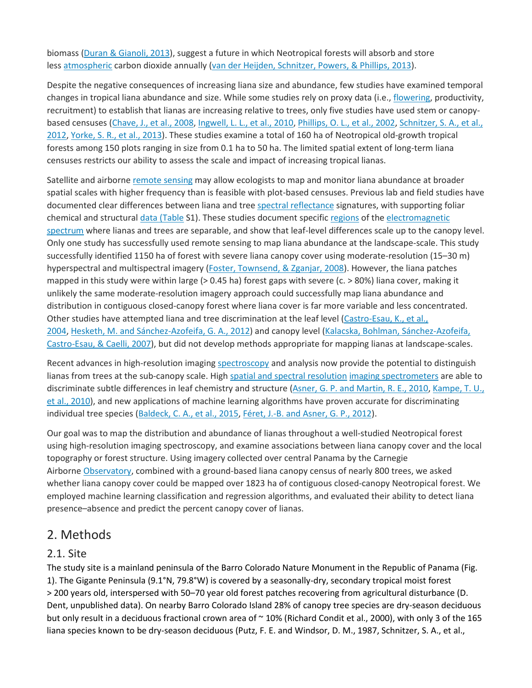biomass [\(Duran & Gianoli, 2013\)](https://www.sciencedirect.com/science/article/pii/S0034425715302492#bb0105), suggest a future in which Neotropical forests will absorb and store less [atmospheric](https://www.sciencedirect.com/topics/earth-and-planetary-sciences/atmospherics) carbon dioxide annually [\(van der Heijden, Schnitzer, Powers, & Phillips, 2013\)](https://www.sciencedirect.com/science/article/pii/S0034425715302492#bb0145).

Despite the negative consequences of increasing liana size and abundance, few studies have examined temporal changes in tropical liana abundance and size. While some studies rely on proxy data (i.e., [flowering,](https://www.sciencedirect.com/topics/earth-and-planetary-sciences/flowering) productivity, recruitment) to establish that lianas are increasing relative to trees, only five studies have used stem or canopy-based censuses [\(Chave, J., et al., 2008,](https://www.sciencedirect.com/science/article/pii/S0034425715302492#bb0065) [Ingwell, L. L., et al., 2010,](https://www.sciencedirect.com/science/article/pii/S0034425715302492#bb0155) [Phillips, O. L., et al., 2002,](https://www.sciencedirect.com/science/article/pii/S0034425715302492#bb0245) Schnitzer, S. A., et al., [2012,](https://www.sciencedirect.com/science/article/pii/S0034425715302492#bb0295) [Yorke, S. R., et al., 2013\)](https://www.sciencedirect.com/science/article/pii/S0034425715302492#bb0330). These studies examine a total of 160 ha of Neotropical old-growth tropical forests among 150 plots ranging in size from 0.1 ha to 50 ha. The limited spatial extent of long-term liana censuses restricts our ability to assess the scale and impact of increasing tropical lianas.

Satellite and airborne [remote sensing](https://www.sciencedirect.com/topics/earth-and-planetary-sciences/remote-sensing) may allow ecologists to map and monitor liana abundance at broader spatial scales with higher frequency than is feasible with plot-based censuses. Previous lab and field studies have documented clear differences between liana and tree [spectral reflectance](https://www.sciencedirect.com/topics/earth-and-planetary-sciences/spectral-reflectance) signatures, with supporting foliar chemical and structural [data \(Table](https://www.sciencedirect.com/topics/earth-and-planetary-sciences/table-data) S1). These studies document specific [regions](https://www.sciencedirect.com/topics/earth-and-planetary-sciences/region) of the [electromagnetic](https://www.sciencedirect.com/topics/earth-and-planetary-sciences/electromagnetic-spectra)  [spectrum](https://www.sciencedirect.com/topics/earth-and-planetary-sciences/electromagnetic-spectra) where lianas and trees are separable, and show that leaf-level differences scale up to the canopy level. Only one study has successfully used remote sensing to map liana abundance at the landscape-scale. This study successfully identified 1150 ha of forest with severe liana canopy cover using moderate-resolution (15–30 m) hyperspectral and multispectral imagery [\(Foster, Townsend, & Zganjar, 2008\)](https://www.sciencedirect.com/science/article/pii/S0034425715302492#bb0115). However, the liana patches mapped in this study were within large (> 0.45 ha) forest gaps with severe (c. > 80%) liana cover, making it unlikely the same moderate-resolution imagery approach could successfully map liana abundance and distribution in contiguous closed-canopy forest where liana cover is far more variable and less concentrated. Other studies have attempted liana and tree discrimination at the leaf level [\(Castro-Esau, K., et al.,](https://www.sciencedirect.com/science/article/pii/S0034425715302492#bb0055)  [2004,](https://www.sciencedirect.com/science/article/pii/S0034425715302492#bb0055) [Hesketh, M. and Sánchez-Azofeifa, G. A., 2012\)](https://www.sciencedirect.com/science/article/pii/S0034425715302492#bb0150) and canopy level [\(Kalacska, Bohlman, Sánchez-Azofeifa,](https://www.sciencedirect.com/science/article/pii/S0034425715302492#bb0160)  [Castro-Esau, & Caelli, 2007\)](https://www.sciencedirect.com/science/article/pii/S0034425715302492#bb0160), but did not develop methods appropriate for mapping lianas at landscape-scales.

Recent advances in high-resolution imaging [spectroscopy](https://www.sciencedirect.com/topics/earth-and-planetary-sciences/spectroscopy) and analysis now provide the potential to distinguish lianas from trees at the sub-canopy scale. High [spatial and spectral resolution](https://www.sciencedirect.com/topics/earth-and-planetary-sciences/spatial-resolution) [imaging spectrometers](https://www.sciencedirect.com/topics/earth-and-planetary-sciences/imaging-spectrometer) are able to discriminate subtle differences in leaf chemistry and structure [\(Asner, G. P. and Martin, R. E., 2010,](https://www.sciencedirect.com/science/article/pii/S0034425715302492#bb0010) [Kampe, T. U.,](https://www.sciencedirect.com/science/article/pii/S0034425715302492#bb0165)  [et al., 2010\)](https://www.sciencedirect.com/science/article/pii/S0034425715302492#bb0165), and new applications of machine learning algorithms have proven accurate for discriminating individual tree species [\(Baldeck, C. A., et al., 2015,](https://www.sciencedirect.com/science/article/pii/S0034425715302492#bb0030) [Féret, J.-B. and Asner, G. P., 2012\)](https://www.sciencedirect.com/science/article/pii/S0034425715302492#bb0110).

Our goal was to map the distribution and abundance of lianas throughout a well-studied Neotropical forest using high-resolution imaging spectroscopy, and examine associations between liana canopy cover and the local topography or forest structure. Using imagery collected over central Panama by the Carnegie Airborne [Observatory,](https://www.sciencedirect.com/topics/earth-and-planetary-sciences/observatory) combined with a ground-based liana canopy census of nearly 800 trees, we asked whether liana canopy cover could be mapped over 1823 ha of contiguous closed-canopy Neotropical forest. We employed machine learning classification and regression algorithms, and evaluated their ability to detect liana presence–absence and predict the percent canopy cover of lianas.

# 2. Methods

# 2.1. Site

The study site is a mainland [peninsula](https://www.sciencedirect.com/topics/earth-and-planetary-sciences/peninsula) of the Barro Colorado Nature Monument in the Republic of Panama [\(Fig.](https://www.sciencedirect.com/science/article/pii/S0034425715302492#f0005)  [1\)](https://www.sciencedirect.com/science/article/pii/S0034425715302492#f0005). The Gigante Peninsula (9.1°N, 79.8°W) is covered by a seasonally-dry, secondary tropical moist forest > 200 years old, interspersed with 50–70 year old forest patches recovering from agricultural disturbance (D. Dent, unpublished data). On nearby Barro Colorado Island 28% of [canopy](https://www.sciencedirect.com/topics/earth-and-planetary-sciences/canopy) tree species are dry-season deciduous but only result in a deciduous fractional crown area of  $\sim$  10% [\(Richard Condit et al., 2000\)](https://www.sciencedirect.com/science/article/pii/S0034425715302492#bb0080), with only 3 of the 165 liana species known to be dry-season deciduous [\(Putz, F. E. and Windsor, D. M., 1987,](https://www.sciencedirect.com/science/article/pii/S0034425715302492#bb0260) [Schnitzer, S. A., et al.,](https://www.sciencedirect.com/science/article/pii/S0034425715302492#bb0295)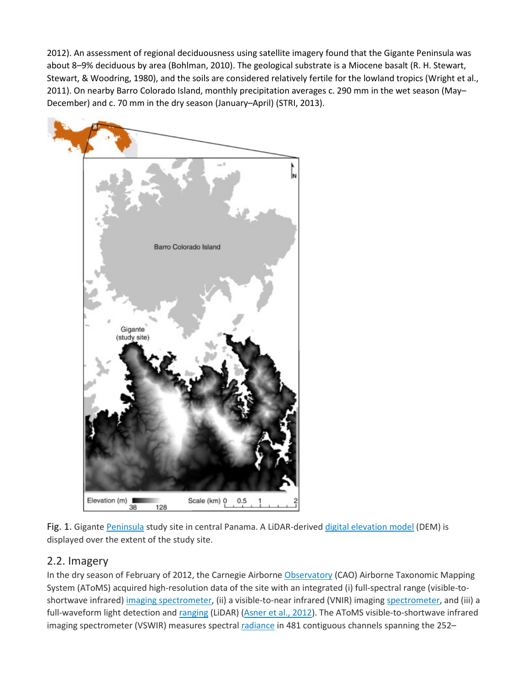[2012\)](https://www.sciencedirect.com/science/article/pii/S0034425715302492#bb0295). An assessment of regional deciduousness using [satellite imagery](https://www.sciencedirect.com/topics/earth-and-planetary-sciences/satellite-imagery) found that the Gigante Peninsula was about 8–9% deciduous by area [\(Bohlman, 2010\)](https://www.sciencedirect.com/science/article/pii/S0034425715302492#bb0045). The geological substrate is a [Miocene](https://www.sciencedirect.com/topics/earth-and-planetary-sciences/miocene) [basalt](https://www.sciencedirect.com/topics/earth-and-planetary-sciences/basalt) [\(R. H. Stewart,](https://www.sciencedirect.com/science/article/pii/S0034425715302492#bb0305)  [Stewart, & Woodring, 1980\)](https://www.sciencedirect.com/science/article/pii/S0034425715302492#bb0305), and the soils are considered relatively fertile for the lowland tropics [\(Wright et al.,](https://www.sciencedirect.com/science/article/pii/S0034425715302492#bb0325)  [2011\)](https://www.sciencedirect.com/science/article/pii/S0034425715302492#bb0325). On nearby Barro Colorado Island, monthly precipitation averages c. 290 mm in the wet season (May– December) and c. 70 mm in the dry season (January–April) [\(STRI, 2013\)](https://www.sciencedirect.com/science/article/pii/S0034425715302492#bb0310).



Fig. 1. Gigante [Peninsula](https://www.sciencedirect.com/topics/earth-and-planetary-sciences/peninsula) study site in central Panama. A LiDAR-derived [digital elevation model](https://www.sciencedirect.com/topics/earth-and-planetary-sciences/digital-elevation-models) (DEM) is displayed over the extent of the study site.

# 2.2. Imagery

In the dry season of February of 2012, the Carnegie Airborne [Observatory](https://www.sciencedirect.com/topics/earth-and-planetary-sciences/observatory) (CAO) Airborne Taxonomic Mapping System (AToMS) acquired high-resolution data of the site with an integrated (i) full-spectral range (visible-toshortwave infrared) [imaging spectrometer,](https://www.sciencedirect.com/topics/earth-and-planetary-sciences/imaging-spectrometer) (ii) a visible-to-near infrared (VNIR) imaging [spectrometer,](https://www.sciencedirect.com/topics/earth-and-planetary-sciences/spectrometer) and (iii) a full-waveform light detection and [ranging](https://www.sciencedirect.com/topics/earth-and-planetary-sciences/rangefinding) (LiDAR) [\(Asner et al., 2012\)](https://www.sciencedirect.com/science/article/pii/S0034425715302492#bb0020). The AToMS visible-to-shortwave infrared imaging spectrometer (VSWIR) measures spectral [radiance](https://www.sciencedirect.com/topics/earth-and-planetary-sciences/radiance) in 481 contiguous channels spanning the 252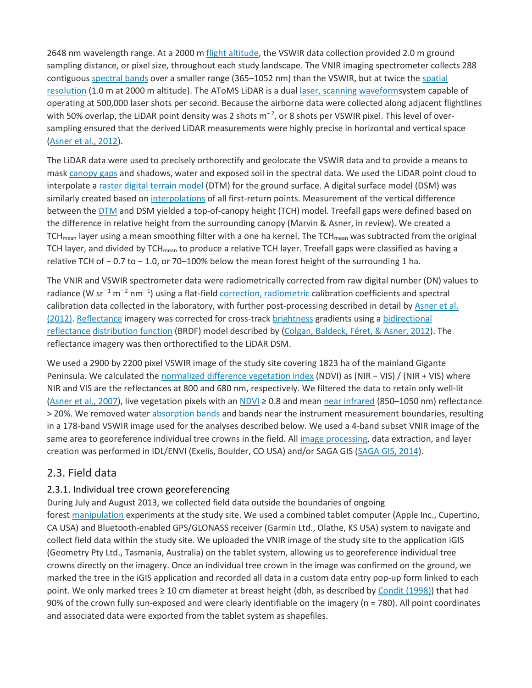2648 nm wavelength range. At a 2000 m [flight altitude,](https://www.sciencedirect.com/topics/earth-and-planetary-sciences/flight-altitude) the VSWIR data collection provided 2.0 m ground sampling distance, or pixel size, throughout each study landscape. The VNIR imaging spectrometer collects 288 contiguous [spectral bands](https://www.sciencedirect.com/topics/earth-and-planetary-sciences/spectral-band) over a smaller range (365–1052 nm) than the VSWIR, but at twice the [spatial](https://www.sciencedirect.com/topics/earth-and-planetary-sciences/spatial-resolution)  [resolution](https://www.sciencedirect.com/topics/earth-and-planetary-sciences/spatial-resolution) (1.0 m at 2000 m altitude). The AToMS LiDAR is a dual [laser, scanning](https://www.sciencedirect.com/topics/earth-and-planetary-sciences/laser-scanning) [waveforms](https://www.sciencedirect.com/topics/earth-and-planetary-sciences/waveform)ystem capable of operating at 500,000 laser shots per second. Because the airborne data were collected along adjacent flightlines with 50% overlap, the LiDAR point density was 2 shots m<sup>-2</sup>, or 8 shots per VSWIR pixel. This level of oversampling ensured that the derived LiDAR measurements were highly precise in horizontal and vertical space [\(Asner et al., 2012\)](https://www.sciencedirect.com/science/article/pii/S0034425715302492#bb0020).

The LiDAR data were used to precisely orthorectify and geolocate the VSWIR data and to provide a means to mask [canopy gaps](https://www.sciencedirect.com/topics/earth-and-planetary-sciences/canopy-gap) and shadows, water and exposed soil in the spectral data. We used the LiDAR point cloud to interpolate a [raster](https://www.sciencedirect.com/topics/earth-and-planetary-sciences/raster) [digital terrain model](https://www.sciencedirect.com/topics/earth-and-planetary-sciences/digital-terrain-model) (DTM) for the ground surface. A digital surface model (DSM) was similarly created based on [interpolations](https://www.sciencedirect.com/topics/earth-and-planetary-sciences/interpolation) of all first-return points. Measurement of the vertical difference between the [DTM](https://www.sciencedirect.com/topics/earth-and-planetary-sciences/digital-terrain-model) and DSM yielded a top-of-canopy height (TCH) model. Treefall gaps were defined based on the difference in relative height from the surrounding canopy (Marvin & Asner, in review). We created a TCH<sub>mean</sub> layer using a mean smoothing filter with a one ha kernel. The TCH<sub>mean</sub> was subtracted from the original TCH layer, and divided by TCH<sub>mean</sub> to produce a relative TCH layer. Treefall gaps were classified as having a relative TCH of − 0.7 to − 1.0, or 70–100% below the mean forest height of the surrounding 1 ha.

The VNIR and VSWIR spectrometer data were radiometrically corrected from raw digital number (DN) values to radiance (W sr<sup>-1</sup> m<sup>-2</sup> nm<sup>-1</sup>) using a flat-field [correction, radiometric](https://www.sciencedirect.com/topics/earth-and-planetary-sciences/radiometric-correction) calibration coefficients and spectral calibration data collected in the laboratory, with further post-processing described in detail by [Asner et al.](https://www.sciencedirect.com/science/article/pii/S0034425715302492#bb0020)  [\(2012\).](https://www.sciencedirect.com/science/article/pii/S0034425715302492#bb0020) [Reflectance](https://www.sciencedirect.com/topics/earth-and-planetary-sciences/reflectance) imagery was corrected for cross-track [brightness](https://www.sciencedirect.com/topics/earth-and-planetary-sciences/brightness) gradients using a [bidirectional](https://www.sciencedirect.com/topics/earth-and-planetary-sciences/bidirectional-reflectance)  [reflectance](https://www.sciencedirect.com/topics/earth-and-planetary-sciences/bidirectional-reflectance) [distribution function](https://www.sciencedirect.com/topics/earth-and-planetary-sciences/distribution-function) (BRDF) model described by [\(Colgan, Baldeck, Féret, & Asner, 2012\)](https://www.sciencedirect.com/science/article/pii/S0034425715302492#bb0075). The reflectance imagery was then orthorectified to the LiDAR DSM.

We used a 2900 by 2200 pixel VSWIR image of the study site covering 1823 ha of the mainland Gigante Peninsula. We calculated the [normalized difference vegetation index](https://www.sciencedirect.com/topics/earth-and-planetary-sciences/normalized-difference-vegetation-index) (NDVI) as (NIR - VIS) / (NIR + VIS) where NIR and VIS are the reflectances at 800 and 680 nm, respectively. We filtered the data to retain only well-lit [\(Asner et al., 2007\)](https://www.sciencedirect.com/science/article/pii/S0034425715302492#bb0025), live vegetation pixels with an [NDVI](https://www.sciencedirect.com/topics/earth-and-planetary-sciences/normalized-difference-vegetation-index) ≥ 0.8 and mean [near infrared](https://www.sciencedirect.com/topics/earth-and-planetary-sciences/near-infrared) (850–1050 nm) reflectance > 20%. We removed water [absorption bands](https://www.sciencedirect.com/topics/earth-and-planetary-sciences/absorption-spectra) and bands near the instrument measurement boundaries, resulting in a 178-band VSWIR image used for the analyses described below. We used a 4-band subset VNIR image of the same area to georeference individual tree crowns in the field. All [image processing,](https://www.sciencedirect.com/topics/earth-and-planetary-sciences/image-processing) data extraction, and layer creation was performed in IDL/ENVI (Exelis, Boulder, CO USA) and/or SAGA GIS [\(SAGA GIS, 2014\)](https://www.sciencedirect.com/science/article/pii/S0034425715302492#bb0270).

#### 2.3. Field data

#### 2.3.1. Individual tree crown georeferencing

During July and August 2013, we collected field data outside the boundaries of ongoing forest [manipulation](https://www.sciencedirect.com/topics/earth-and-planetary-sciences/manipulator) experiments at the study site. We used a combined tablet computer (Apple Inc., Cupertino, CA USA) and Bluetooth-enabled GPS/GLONASS receiver (Garmin Ltd., Olathe, KS USA) system to navigate and collect field data within the study site. We uploaded the VNIR image of the study site to the application iGIS (Geometry Pty Ltd., Tasmania, Australia) on the tablet system, allowing us to georeference individual tree crowns directly on the imagery. Once an individual tree crown in the image was confirmed on the ground, we marked the tree in the iGIS application and recorded all data in a custom data entry pop-up form linked to each point. We only marked trees ≥ 10 cm diameter at breast height (dbh, as described by [Condit \(1998\)\)](https://www.sciencedirect.com/science/article/pii/S0034425715302492#bb0085) that had 90% of the crown fully sun-exposed and were clearly identifiable on the imagery (n = 780). All point coordinates and associated data were exported from the tablet system as shapefiles.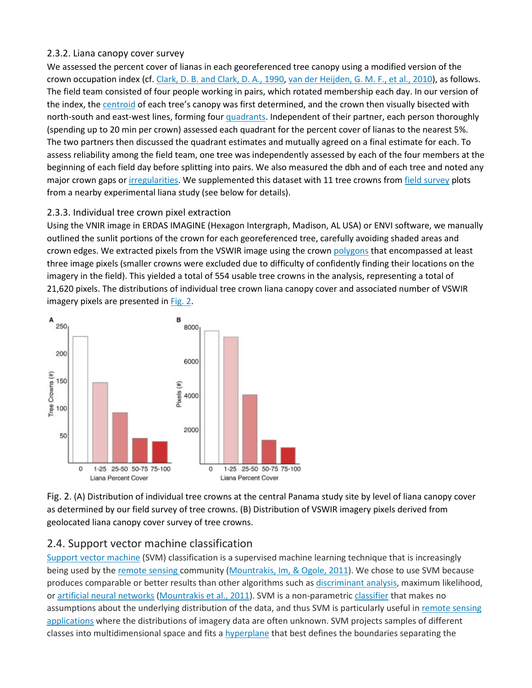#### 2.3.2. Liana canopy cover survey

We assessed the percent cover of lianas in each georeferenced tree canopy using a modified version of the crown occupation index (cf. [Clark, D. B. and Clark, D. A., 1990,](https://www.sciencedirect.com/science/article/pii/S0034425715302492#bb0070) [van der Heijden, G. M. F., et al., 2010\)](https://www.sciencedirect.com/science/article/pii/S0034425715302492#bb0135), as follows. The field team consisted of four people working in pairs, which rotated membership each day. In our version of the index, the [centroid](https://www.sciencedirect.com/topics/earth-and-planetary-sciences/centroid) of each tree's canopy was first determined, and the crown then visually bisected with north-south and east-west lines, forming four [quadrants.](https://www.sciencedirect.com/topics/earth-and-planetary-sciences/quadrant) Independent of their partner, each person thoroughly (spending up to 20 min per crown) assessed each quadrant for the percent cover of lianas to the nearest 5%. The two partners then discussed the quadrant estimates and mutually agreed on a final estimate for each. To assess reliability among the field team, one tree was independently assessed by each of the four members at the beginning of each field day before splitting into pairs. We also measured the dbh and of each tree and noted any major crown gaps or [irregularities.](https://www.sciencedirect.com/topics/earth-and-planetary-sciences/irregularity) We supplemented this dataset with 11 tree crowns from [field survey](https://www.sciencedirect.com/topics/earth-and-planetary-sciences/field-survey) plots from a nearby experimental liana study (see below for details).

#### 2.3.3. Individual tree crown pixel extraction

Using the VNIR image in ERDAS IMAGINE (Hexagon Intergraph, Madison, AL USA) or ENVI software, we manually outlined the sunlit portions of the crown for each georeferenced tree, carefully avoiding shaded areas and crown edges. We extracted pixels from the VSWIR image using the crown [polygons](https://www.sciencedirect.com/topics/earth-and-planetary-sciences/polygon) that encompassed at least three image pixels (smaller crowns were excluded due to difficulty of confidently finding their locations on the imagery in the field). This yielded a total of 554 usable tree crowns in the analysis, representing a total of 21,620 pixels. The distributions of individual tree crown liana canopy cover and associated number of VSWIR imagery pixels are presented in [Fig. 2.](https://www.sciencedirect.com/science/article/pii/S0034425715302492#f0010)



Fig. 2. (A) Distribution of individual tree crowns at the central Panama study site by level of liana [canopy](https://www.sciencedirect.com/topics/earth-and-planetary-sciences/canopy) cover as determined by our [field survey](https://www.sciencedirect.com/topics/earth-and-planetary-sciences/field-survey) of tree crowns. (B) Distribution of VSWIR imagery pixels derived from geolocated liana canopy cover survey of tree crowns.

# 2.4. Support vector machine classification

[Support vector machine](https://www.sciencedirect.com/topics/earth-and-planetary-sciences/support-vector-machine) (SVM) classification is a supervised machine learning technique that is increasingly being used by the [remote sensing](https://www.sciencedirect.com/topics/earth-and-planetary-sciences/remote-sensing) community [\(Mountrakis, Im, & Ogole, 2011\)](https://www.sciencedirect.com/science/article/pii/S0034425715302492#bb0200). We chose to use SVM because produces comparable or better results than other algorithms such as [discriminant analysis,](https://www.sciencedirect.com/topics/earth-and-planetary-sciences/discriminant-analysis) maximum likelihood, or [artificial neural networks](https://www.sciencedirect.com/topics/earth-and-planetary-sciences/artificial-neural-network) [\(Mountrakis et al., 2011\)](https://www.sciencedirect.com/science/article/pii/S0034425715302492#bb0200). SVM is a non-parametric [classifier](https://www.sciencedirect.com/topics/earth-and-planetary-sciences/classifier) that makes no assumptions about the underlying distribution of the data, and thus SVM is particularly useful in [remote sensing](https://www.sciencedirect.com/topics/earth-and-planetary-sciences/remote-sensing-applications)  [applications](https://www.sciencedirect.com/topics/earth-and-planetary-sciences/remote-sensing-applications) where the distributions of imagery data are often unknown. SVM projects samples of different classes into multidimensional space and fits a [hyperplane](https://www.sciencedirect.com/topics/earth-and-planetary-sciences/hyperplanes) that best defines the boundaries separating the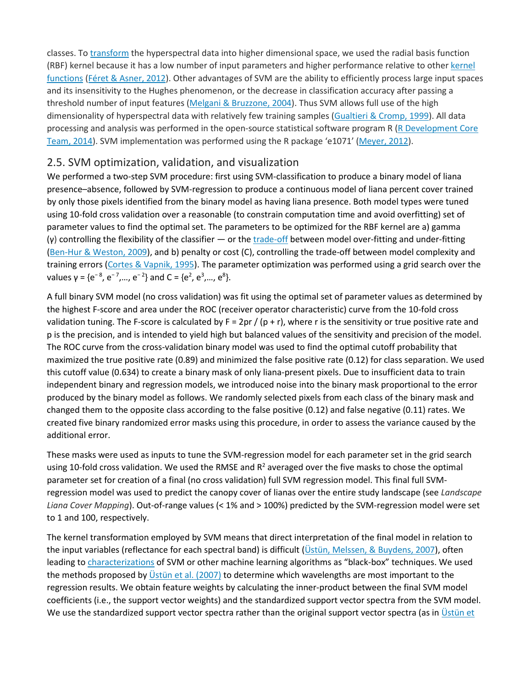classes. To [transform](https://www.sciencedirect.com/topics/earth-and-planetary-sciences/transformation-mathematics) the hyperspectral data into higher dimensional space, we used the radial basis function (RBF) kernel because it has a low number of input parameters and higher performance relative to other [kernel](https://www.sciencedirect.com/topics/earth-and-planetary-sciences/kernel-function)  [functions](https://www.sciencedirect.com/topics/earth-and-planetary-sciences/kernel-function) [\(Féret & Asner, 2012\)](https://www.sciencedirect.com/science/article/pii/S0034425715302492#bb0110). Other advantages of SVM are the ability to efficiently process large input spaces and its insensitivity to the Hughes phenomenon, or the decrease in classification accuracy after passing a threshold number of input features [\(Melgani & Bruzzone, 2004\)](https://www.sciencedirect.com/science/article/pii/S0034425715302492#bb0190). Thus SVM allows full use of the high dimensionality of hyperspectral data with relatively few training samples (Gualtieri & [Cromp, 1999\)](https://www.sciencedirect.com/science/article/pii/S0034425715302492#bb0125). All data processing and analysis was performed in the open-source statistical software program R (R Development Core [Team, 2014\)](https://www.sciencedirect.com/science/article/pii/S0034425715302492#bb0265). SVM implementation was performed using the R package 'e1071' [\(Meyer, 2012\)](https://www.sciencedirect.com/science/article/pii/S0034425715302492#bb0195).

#### 2.5. SVM optimization, validation, and visualization

We performed a two-step SVM procedure: first using SVM-classification to produce a binary model of liana presence–absence, followed by SVM-regression to produce a continuous model of liana percent cover trained by only those pixels identified from the binary model as having liana presence. Both model types were tuned using 10-fold cross validation over a reasonable (to constrain computation time and avoid overfitting) set of parameter values to find the optimal set. The parameters to be optimized for the RBF kernel are a) gamma (γ) controlling the flexibility of the classifier  $-$  or the [trade-off](https://www.sciencedirect.com/topics/earth-and-planetary-sciences/tradeoff) between model over-fitting and under-fitting [\(Ben-Hur & Weston, 2009\)](https://www.sciencedirect.com/science/article/pii/S0034425715302492#bb0035), and b) penalty or cost (C), controlling the trade-off between model complexity and training errors [\(Cortes & Vapnik, 1995\)](https://www.sciencedirect.com/science/article/pii/S0034425715302492#bb0090). The parameter optimization was performed using a grid search over the values  $\gamma = \{e^{-8}, e^{-7}, ..., e^{-2}\}\$  and  $C = \{e^2, e^3, ..., e^8\}.$ 

A full binary SVM model (no cross validation) was fit using the optimal set of parameter values as determined by the highest F-score and area under the ROC (receiver operator characteristic) curve from the 10-fold cross validation tuning. The F-score is calculated by  $F = 2pr / (p + r)$ , where r is the sensitivity or true positive rate and p is the precision, and is intended to yield high but balanced values of the sensitivity and precision of the model. The ROC curve from the cross-validation binary model was used to find the optimal cutoff probability that maximized the true positive rate (0.89) and minimized the false positive rate (0.12) for class separation. We used this cutoff value (0.634) to create a binary mask of only liana-present pixels. Due to insufficient data to train independent binary and regression models, we introduced noise into the binary mask proportional to the error produced by the binary model as follows. We randomly selected pixels from each class of the binary mask and changed them to the opposite class according to the false positive (0.12) and false negative (0.11) rates. We created five binary randomized error masks using this procedure, in order to assess the variance caused by the additional error.

These masks were used as inputs to tune the SVM-regression model for each parameter set in the grid search using 10-fold cross validation. We used the RMSE and  $R<sup>2</sup>$  averaged over the five masks to chose the optimal parameter set for creation of a final (no cross validation) full SVM regression model. This final full SVMregression model was used to predict the canopy cover of lianas over the entire study landscape (see *Landscape Liana Cover Mapping*). Out-of-range values (< 1% and > 100%) predicted by the SVM-regression model were set to 1 and 100, respectively.

The kernel transformation employed by SVM means that direct interpretation of the final model in relation to the input variables (reflectance for each spectral band) is difficult [\(Üstün, Melssen, & Buydens, 2007\)](https://www.sciencedirect.com/science/article/pii/S0034425715302492#bb0315), often leading to [characterizations](https://www.sciencedirect.com/topics/earth-and-planetary-sciences/characterization) of SVM or other machine learning algorithms as "black-box" techniques. We used the methods proposed by Ustün et al. (2007) to determine which wavelengths are most important to the regression results. We obtain feature weights by calculating the inner-product between the final SVM model coefficients (i.e., the support vector weights) and the standardized support vector spectra from the SVM model. We use the standardized support vector spectra rather than the original support vector spectra (as in [Üstün et](https://www.sciencedirect.com/science/article/pii/S0034425715302492#bb0315)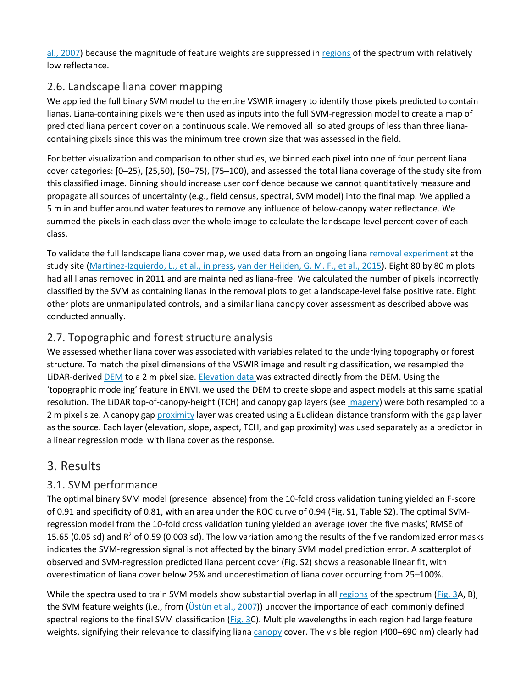[al., 2007\)](https://www.sciencedirect.com/science/article/pii/S0034425715302492#bb0315) because the magnitude of feature weights are suppressed in [regions](https://www.sciencedirect.com/topics/earth-and-planetary-sciences/region) of the spectrum with relatively low reflectance.

# 2.6. Landscape liana cover mapping

We applied the full binary SVM model to the entire VSWIR imagery to identify those pixels predicted to contain lianas. Liana-containing pixels were then used as inputs into the full SVM-regression model to create a map of predicted liana percent cover on a continuous scale. We removed all isolated groups of less than three lianacontaining pixels since this was the minimum tree crown size that was assessed in the field.

For better visualization and comparison to other studies, we binned each pixel into one of four percent liana cover categories: [0–25), [25,50), [50–75), [75–100), and assessed the total liana coverage of the study site from this classified image. Binning should increase user confidence because we cannot quantitatively measure and propagate all sources of uncertainty (e.g., field census, spectral, SVM model) into the final map. We applied a 5 m inland buffer around water features to remove any influence of below-canopy water reflectance. We summed the pixels in each class over the whole image to calculate the landscape-level percent cover of each class.

To validate the full landscape liana cover map, we used data from an ongoing liana [removal experiment](https://www.sciencedirect.com/topics/earth-and-planetary-sciences/removal-experiment) at the study site [\(Martinez-Izquierdo, L., et al., in press,](https://www.sciencedirect.com/science/article/pii/S0034425715302492#bb0185) [van der Heijden, G. M. F., et al., 2015\)](https://www.sciencedirect.com/science/article/pii/S0034425715302492#bb0140). Eight 80 by 80 m plots had all lianas removed in 2011 and are maintained as liana-free. We calculated the number of pixels incorrectly classified by the SVM as containing lianas in the removal plots to get a landscape-level false positive rate. Eight other plots are unmanipulated controls, and a similar liana canopy cover assessment as described above was conducted annually.

# 2.7. Topographic and forest structure analysis

We assessed whether liana cover was associated with variables related to the underlying topography or forest structure. To match the pixel dimensions of the VSWIR image and resulting classification, we resampled the LiDAR-derived [DEM](https://www.sciencedirect.com/topics/earth-and-planetary-sciences/digital-elevation-models) to a 2 m pixel size. [Elevation data](https://www.sciencedirect.com/topics/earth-and-planetary-sciences/datum-elevation) was extracted directly from the DEM. Using the 'topographic modeling' feature in ENVI, we used the DEM to create slope and aspect models at this same spatial resolution. The LiDAR top-of-canopy-height (TCH) and canopy gap layers (see [Imagery\)](https://www.sciencedirect.com/science/article/pii/S0034425715302492#s0020) were both resampled to a 2 m pixel size. A canopy gap [proximity](https://www.sciencedirect.com/topics/earth-and-planetary-sciences/proximity) layer was created using a Euclidean distance transform with the gap layer as the source. Each layer (elevation, slope, aspect, TCH, and gap proximity) was used separately as a predictor in a linear regression model with liana cover as the response.

# 3. Results

# 3.1. SVM performance

The optimal binary SVM model (presence–absence) from the 10-fold cross validation tuning yielded an F-score of 0.91 and specificity of 0.81, with an area under the ROC curve of 0.94 (Fig. S1, Table S2). The optimal SVMregression model from the 10-fold cross validation tuning yielded an average (over the five masks) RMSE of 15.65 (0.05 sd) and  $R^2$  of 0.59 (0.003 sd). The low variation among the results of the five randomized error masks indicates the SVM-regression signal is not affected by the binary SVM model prediction error. A scatterplot of observed and SVM-regression predicted liana percent cover (Fig. S2) shows a reasonable linear fit, with overestimation of liana cover below 25% and underestimation of liana cover occurring from 25–100%.

While the spectra used to train SVM models show substantial overlap in all [regions](https://www.sciencedirect.com/topics/earth-and-planetary-sciences/region) of the spectrum [\(Fig. 3A](https://www.sciencedirect.com/science/article/pii/S0034425715302492#f0015), B), the SVM feature weights (i.e., from (Ustün et al., 2007)) uncover the importance of each commonly defined spectral regions to the final SVM classification [\(Fig. 3C](https://www.sciencedirect.com/science/article/pii/S0034425715302492#f0015)). Multiple wavelengths in each region had large feature weights, signifying their relevance to classifying liana [canopy](https://www.sciencedirect.com/topics/earth-and-planetary-sciences/canopy) cover. The visible region (400–690 nm) clearly had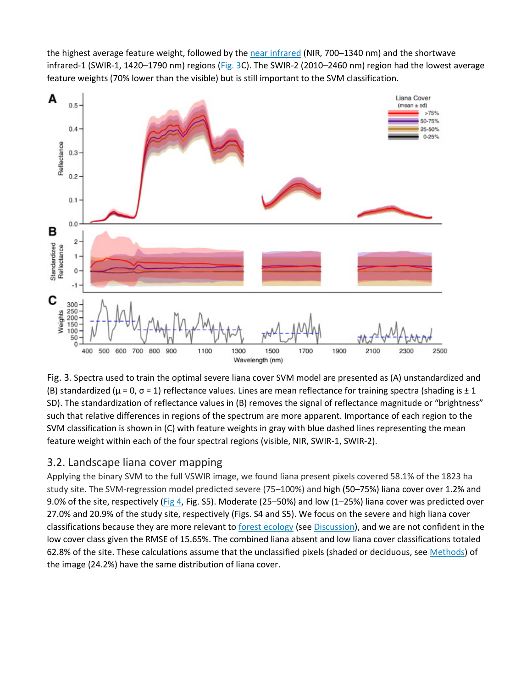the highest average feature weight, followed by the [near infrared](https://www.sciencedirect.com/topics/earth-and-planetary-sciences/near-infrared) (NIR, 700-1340 nm) and the shortwave infrared-1 (SWIR-1, 1420–1790 nm) regions [\(Fig. 3C](https://www.sciencedirect.com/science/article/pii/S0034425715302492#f0015)). The SWIR-2 (2010–2460 nm) region had the lowest average feature weights (70% lower than the visible) but is still important to the SVM classification.



Fig. 3. Spectra used to train the optimal severe liana cover SVM model are presented as (A) unstandardized and (B) standardized ( $\mu$  = 0,  $\sigma$  = 1) [reflectance](https://www.sciencedirect.com/topics/earth-and-planetary-sciences/reflectance) values. Lines are mean reflectance for training spectra (shading is  $\pm$  1 SD). The [standardization](https://www.sciencedirect.com/topics/earth-and-planetary-sciences/standardisation) of reflectance values in (B) removes the signal of reflectance magnitude or "brightness" such that relative differences in [regions](https://www.sciencedirect.com/topics/earth-and-planetary-sciences/region) of the spectrum are more apparent. Importance of each region to the SVM classification is shown in (C) with feature weights in gray with blue dashed lines representing the mean feature weight within each of the four spectral regions (visible, NIR, SWIR-1, SWIR-2).

#### 3.2. Landscape liana cover mapping

Applying the binary SVM to the full VSWIR image, we found liana present pixels covered 58.1% of the 1823 ha study site. The SVM-regression model predicted severe (75–100%) and high (50–75%) liana cover over 1.2% and 9.0% of the site, respectively [\(Fig 4,](https://www.sciencedirect.com/science/article/pii/S0034425715302492#f0020) Fig. S5). Moderate (25–50%) and low (1–25%) liana cover was predicted over 27.0% and 20.9% of the study site, respectively (Figs. S4 and S5). We focus on the severe and high liana cover classifications because they are more relevant to [forest ecology](https://www.sciencedirect.com/topics/earth-and-planetary-sciences/forest-ecology) (see [Discussion\)](https://www.sciencedirect.com/science/article/pii/S0034425715302492#s0085), and we are not confident in the low cover class given the RMSE of 15.65%. The combined liana absent and low liana cover classifications totaled 62.8% of the site. These calculations assume that the unclassified pixels (shaded or deciduous, see [Methods\)](https://www.sciencedirect.com/science/article/pii/S0034425715302492#s0010) of the image (24.2%) have the same distribution of liana cover.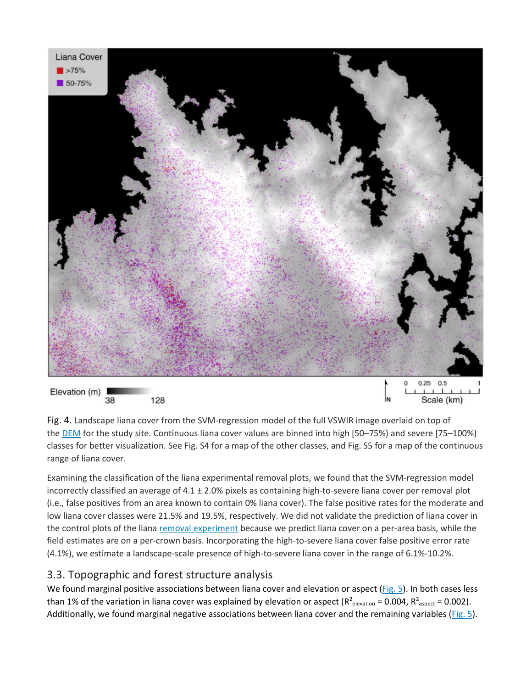

Fig. 4. Landscape liana cover from the SVM-regression model of the full VSWIR image overlaid on top of the [DEM](https://www.sciencedirect.com/topics/earth-and-planetary-sciences/digital-elevation-models) for the study site. Continuous liana cover values are binned into high [50–75%) and severe [75–100%) classes for better visualization. See Fig. S4 for a map of the other classes, and Fig. S5 for a map of the continuous range of liana cover.

Examining the classification of the liana experimental removal plots, we found that the SVM-regression model incorrectly classified an average of 4.1 ± 2.0% pixels as containing high-to-severe liana cover per removal plot (i.e., false positives from an area known to contain 0% liana cover). The false positive rates for the moderate and low liana cover classes were 21.5% and 19.5%, respectively. We did not validate the prediction of liana cover in the control plots of the liana [removal experiment](https://www.sciencedirect.com/topics/earth-and-planetary-sciences/removal-experiment) because we predict liana cover on a per-area basis, while the field estimates are on a per-crown basis. Incorporating the high-to-severe liana cover false positive error rate (4.1%), we estimate a landscape-scale presence of high-to-severe liana cover in the range of 6.1%-10.2%.

# 3.3. Topographic and forest structure analysis

We found marginal positive associations between liana cover and elevation or aspect [\(Fig. 5\)](https://www.sciencedirect.com/science/article/pii/S0034425715302492#f0025). In both cases less than 1% of the variation in liana cover was explained by elevation or aspect ( $R^2$ <sub>elevation</sub> = 0.004,  $R^2$ <sub>aspect</sub> = 0.002). Additionally, we found marginal negative associations between liana cover and the remaining variables [\(Fig. 5\)](https://www.sciencedirect.com/science/article/pii/S0034425715302492#f0025).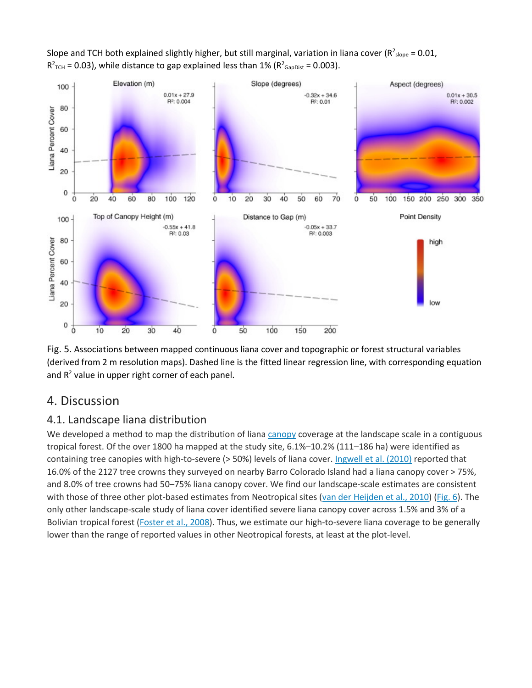

Slope and TCH both explained slightly higher, but still marginal, variation in liana cover ( $R^2$ <sub>slope</sub> = 0.01,  $R^2$ <sub>TCH</sub> = 0.03), while distance to gap explained less than 1% ( $R^2$ <sub>GapDist</sub> = 0.003).

Fig. 5. Associations between mapped continuous liana cover and topographic or forest structural variables (derived from 2 m resolution maps). Dashed line is the fitted linear regression line, with corresponding equation and  $R^2$  value in upper right corner of each panel.

# 4. Discussion

# 4.1. Landscape liana distribution

We developed a method to map the distribution of liana [canopy](https://www.sciencedirect.com/topics/earth-and-planetary-sciences/canopy) coverage at the landscape scale in a contiguous tropical forest. Of the over 1800 ha mapped at the study site, 6.1%–10.2% (111–186 ha) were identified as containing tree canopies with high-to-severe (> 50%) levels of liana cover. [Ingwell et al. \(2010\)](https://www.sciencedirect.com/science/article/pii/S0034425715302492#bb0155) reported that 16.0% of the 2127 tree crowns they surveyed on nearby Barro Colorado Island had a liana canopy cover > 75%, and 8.0% of tree crowns had 50–75% liana canopy cover. We find our landscape-scale estimates are consistent with those of three other plot-based estimates from Neotropical sites [\(van der Heijden et al., 2010\)](https://www.sciencedirect.com/science/article/pii/S0034425715302492#bb0135) [\(Fig. 6\)](https://www.sciencedirect.com/science/article/pii/S0034425715302492#f0030). The only other landscape-scale study of liana cover identified severe liana canopy cover across 1.5% and 3% of a Bolivian tropical forest [\(Foster et al., 2008\)](https://www.sciencedirect.com/science/article/pii/S0034425715302492#bb0115). Thus, we estimate our high-to-severe liana coverage to be generally lower than the range of reported values in other Neotropical forests, at least at the plot-level.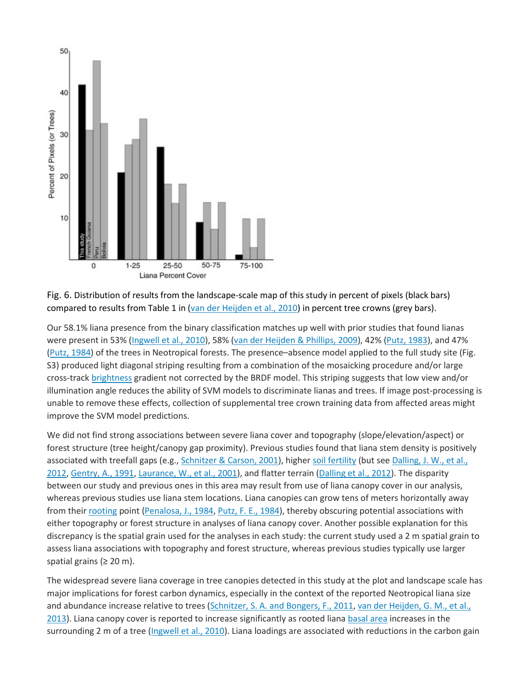

Fig. 6. Distribution of results from the landscape-scale map of this study in percent of pixels (black bars) compared to results from Table 1 in [\(van der Heijden et al., 2010\)](https://www.sciencedirect.com/science/article/pii/S0034425715302492#bb0135) in percent tree crowns (grey bars).

Our 58.1% liana presence from the binary classification matches up well with prior studies that found lianas were present in 53% [\(Ingwell et al., 2010\)](https://www.sciencedirect.com/science/article/pii/S0034425715302492#bb0155), 58% [\(van der Heijden & Phillips, 2009\)](https://www.sciencedirect.com/science/article/pii/S0034425715302492#bb0130), 42% [\(Putz, 1983\)](https://www.sciencedirect.com/science/article/pii/S0034425715302492#bb0250), and 47% [\(Putz, 1984\)](https://www.sciencedirect.com/science/article/pii/S0034425715302492#bb0255) of the trees in Neotropical forests. The presence–absence model applied to the full study site (Fig. S3) produced light diagonal striping resulting from a combination of the mosaicking procedure and/or large cross-track [brightness](https://www.sciencedirect.com/topics/earth-and-planetary-sciences/brightness) gradient not corrected by the BRDF model. This striping suggests that low view and/or illumination angle reduces the ability of SVM models to discriminate lianas and trees. If image post-processing is unable to remove these effects, collection of supplemental tree crown training data from affected areas might improve the SVM model predictions.

We did not find strong associations between severe liana cover and topography (slope/elevation/aspect) or forest structure (tree height/canopy gap proximity). Previous studies found that liana stem density is positively associated with treefall gaps (e.g., [Schnitzer & Carson, 2001\)](https://www.sciencedirect.com/science/article/pii/S0034425715302492#bb0285), higher [soil fertility](https://www.sciencedirect.com/topics/earth-and-planetary-sciences/soil-fertility) (but see [Dalling, J. W., et al.,](https://www.sciencedirect.com/science/article/pii/S0034425715302492#bb0095)  [2012,](https://www.sciencedirect.com/science/article/pii/S0034425715302492#bb0095) [Gentry, A., 1991,](https://www.sciencedirect.com/science/article/pii/S0034425715302492#bb0120) [Laurance, W., et al., 2001\)](https://www.sciencedirect.com/science/article/pii/S0034425715302492#bb0175), and flatter terrain [\(Dalling et al., 2012\)](https://www.sciencedirect.com/science/article/pii/S0034425715302492#bb0095). The disparity between our study and previous ones in this area may result from use of liana canopy cover in our analysis, whereas previous studies use liana stem locations. Liana canopies can grow tens of meters horizontally away from their [rooting](https://www.sciencedirect.com/topics/earth-and-planetary-sciences/rooting) point [\(Penalosa, J., 1984,](https://www.sciencedirect.com/science/article/pii/S0034425715302492#bb0215) [Putz, F. E., 1984\)](https://www.sciencedirect.com/science/article/pii/S0034425715302492#bb0255), thereby obscuring potential associations with either topography or forest structure in analyses of liana canopy cover. Another possible explanation for this discrepancy is the spatial grain used for the analyses in each study: the current study used a 2 m spatial grain to assess liana associations with topography and forest structure, whereas previous studies typically use larger spatial grains ( $\geq 20$  m).

The widespread severe liana coverage in tree canopies detected in this study at the plot and landscape scale has major implications for forest carbon dynamics, especially in the context of the reported Neotropical liana size and abundance increase relative to trees [\(Schnitzer, S. A. and Bongers, F., 2011,](https://www.sciencedirect.com/science/article/pii/S0034425715302492#bb0280) van der Heijden, G. M., et al., [2013\)](https://www.sciencedirect.com/science/article/pii/S0034425715302492#bb0145). Liana canopy cover is reported to increase significantly as rooted liana [basal area](https://www.sciencedirect.com/topics/earth-and-planetary-sciences/basal-area) increases in the surrounding 2 m of a tree [\(Ingwell et al., 2010\)](https://www.sciencedirect.com/science/article/pii/S0034425715302492#bb0155). Liana loadings are associated with reductions in the carbon gain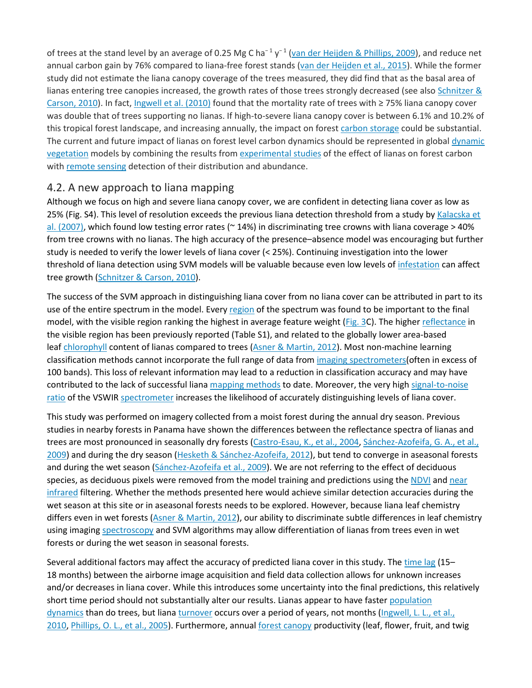of trees at the stand level by an average of 0.25 Mg C ha<sup>-1</sup> y<sup>-1</sup> [\(van der Heijden & Phillips, 2009\)](https://www.sciencedirect.com/science/article/pii/S0034425715302492#bb0130), and reduce net annual carbon gain by 76% compared to liana-free forest stands [\(van der Heijden et al., 2015\)](https://www.sciencedirect.com/science/article/pii/S0034425715302492#bb0140). While the former study did not estimate the liana canopy coverage of the trees measured, they did find that as the basal area of lianas entering tree canopies increased, the growth rates of those trees strongly decreased (see also Schnitzer & [Carson, 2010\)](https://www.sciencedirect.com/science/article/pii/S0034425715302492#bb0290). In fact, [Ingwell et al. \(2010\)](https://www.sciencedirect.com/science/article/pii/S0034425715302492#bb0155) found that the mortality rate of trees with ≥ 75% liana canopy cover was double that of trees supporting no lianas. If high-to-severe liana canopy cover is between 6.1% and 10.2% of this tropical forest landscape, and increasing annually, the impact on forest [carbon storage](https://www.sciencedirect.com/topics/earth-and-planetary-sciences/carbon-sequestration) could be substantial. The current and future impact of lianas on forest level carbon dynamics should be represented in global dynamic [vegetation](https://www.sciencedirect.com/topics/earth-and-planetary-sciences/vegetation-dynamics) models by combining the results from [experimental studies](https://www.sciencedirect.com/topics/earth-and-planetary-sciences/experimental-study) of the effect of lianas on forest carbon with [remote sensing](https://www.sciencedirect.com/topics/earth-and-planetary-sciences/remote-sensing) detection of their distribution and abundance.

#### 4.2. A new approach to liana mapping

Although we focus on high and severe liana canopy cover, we are confident in detecting liana cover as low as 25% (Fig. S4). This level of resolution exceeds the previous liana detection threshold from a study by Kalacska et [al. \(2007\),](https://www.sciencedirect.com/science/article/pii/S0034425715302492#bb0160) which found low testing error rates ( $\approx$  14%) in discriminating tree crowns with liana coverage > 40% from tree crowns with no lianas. The high accuracy of the presence–absence model was encouraging but further study is needed to verify the lower levels of liana cover (< 25%). Continuing investigation into the lower threshold of liana detection using SVM models will be valuable because even low levels of [infestation](https://www.sciencedirect.com/topics/earth-and-planetary-sciences/infestation) can affect tree growth [\(Schnitzer & Carson, 2010\)](https://www.sciencedirect.com/science/article/pii/S0034425715302492#bb0290).

The success of the SVM approach in distinguishing liana cover from no liana cover can be attributed in part to its use of the entire spectrum in the model. Every [region](https://www.sciencedirect.com/topics/earth-and-planetary-sciences/region) of the spectrum was found to be important to the final model, with the visible region ranking the highest in average feature weight [\(Fig. 3C](https://www.sciencedirect.com/science/article/pii/S0034425715302492#f0015)). The higher [reflectance](https://www.sciencedirect.com/topics/earth-and-planetary-sciences/reflectance) in the visible region has been previously reported (Table S1), and related to the globally lower area-based leaf [chlorophyll](https://www.sciencedirect.com/topics/earth-and-planetary-sciences/chlorophyll) content of lianas compared to trees [\(Asner & Martin, 2012\)](https://www.sciencedirect.com/science/article/pii/S0034425715302492#bb0015). Most non-machine learning classification methods cannot incorporate the full range of data from [imaging spectrometers\(](https://www.sciencedirect.com/topics/earth-and-planetary-sciences/imaging-spectrometer)often in excess of 100 bands). This loss of relevant information may lead to a reduction in classification accuracy and may have contributed to the lack of successful liana [mapping methods](https://www.sciencedirect.com/topics/earth-and-planetary-sciences/mapping-method) to date. Moreover, the very high [signal-to-noise](https://www.sciencedirect.com/topics/earth-and-planetary-sciences/signal-to-noise-ratios)  [ratio](https://www.sciencedirect.com/topics/earth-and-planetary-sciences/signal-to-noise-ratios) of the VSWIR [spectrometer](https://www.sciencedirect.com/topics/earth-and-planetary-sciences/spectrometer) increases the likelihood of accurately distinguishing levels of liana cover.

This study was performed on imagery collected from a moist forest during the annual dry season. Previous studies in nearby forests in Panama have shown the differences between the reflectance spectra of lianas and trees are most pronounced in seasonally dry forests [\(Castro-Esau, K., et al., 2004,](https://www.sciencedirect.com/science/article/pii/S0034425715302492#bb0055) [Sánchez-Azofeifa, G. A., et al.,](https://www.sciencedirect.com/science/article/pii/S0034425715302492#bb0275)  [2009\)](https://www.sciencedirect.com/science/article/pii/S0034425715302492#bb0275) and during the dry season [\(Hesketh & Sánchez-Azofeifa, 2012\)](https://www.sciencedirect.com/science/article/pii/S0034425715302492#bb0150), but tend to converge in aseasonal forests and during the wet season [\(Sánchez-Azofeifa et al., 2009\)](https://www.sciencedirect.com/science/article/pii/S0034425715302492#bb0275). We are not referring to the effect of deciduous species, as deciduous pixels were removed from the model training and predictions using the [NDVI](https://www.sciencedirect.com/topics/earth-and-planetary-sciences/normalized-difference-vegetation-index) and near [infrared](https://www.sciencedirect.com/topics/earth-and-planetary-sciences/near-infrared) filtering. Whether the methods presented here would achieve similar detection accuracies during the wet season at this site or in aseasonal forests needs to be explored. However, because liana leaf chemistry differs even in wet forests [\(Asner & Martin, 2012\)](https://www.sciencedirect.com/science/article/pii/S0034425715302492#bb0015), our ability to discriminate subtle differences in leaf chemistry using imaging [spectroscopy](https://www.sciencedirect.com/topics/earth-and-planetary-sciences/spectroscopy) and SVM algorithms may allow differentiation of lianas from trees even in wet forests or during the wet season in seasonal forests.

Several additional factors may affect the accuracy of predicted liana cover in this study. The [time lag](https://www.sciencedirect.com/topics/earth-and-planetary-sciences/time-lag) (15– 18 months) between the airborne image acquisition and field data collection allows for unknown increases and/or decreases in liana cover. While this introduces some uncertainty into the final predictions, this relatively short time period should not substantially alter our results. Lianas appear to have faster population [dynamics](https://www.sciencedirect.com/topics/earth-and-planetary-sciences/population-dynamics) than do trees, but liana [turnover](https://www.sciencedirect.com/topics/earth-and-planetary-sciences/turnover) occurs over a period of years, not months [\(Ingwell, L. L., et al.,](https://www.sciencedirect.com/science/article/pii/S0034425715302492#bb0155)  [2010,](https://www.sciencedirect.com/science/article/pii/S0034425715302492#bb0155) [Phillips, O. L., et al., 2005\)](https://www.sciencedirect.com/science/article/pii/S0034425715302492#bb0240). Furthermore, annual [forest canopy](https://www.sciencedirect.com/topics/earth-and-planetary-sciences/forest-canopy) productivity (leaf, flower, fruit, and twig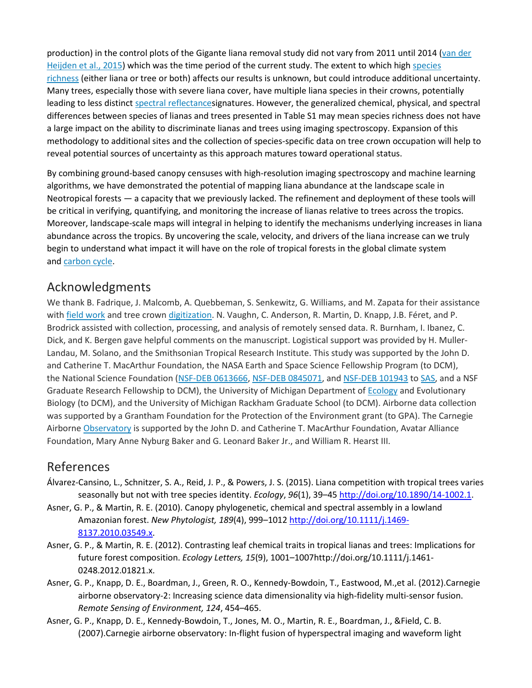production) in the control plots of the Gigante liana removal study did not vary from 2011 until 2014 (van der [Heijden et al., 2015\)](https://www.sciencedirect.com/science/article/pii/S0034425715302492#bb0140) which was the time period of the current study. The extent to which high [species](https://www.sciencedirect.com/topics/earth-and-planetary-sciences/species-richness)  [richness](https://www.sciencedirect.com/topics/earth-and-planetary-sciences/species-richness) (either liana or tree or both) affects our results is unknown, but could introduce additional uncertainty. Many trees, especially those with severe liana cover, have multiple liana species in their crowns, potentially leading to less distinct [spectral reflectances](https://www.sciencedirect.com/topics/earth-and-planetary-sciences/spectral-reflectance)ignatures. However, the generalized chemical, physical, and spectral differences between species of lianas and trees presented in Table S1 may mean species richness does not have a large impact on the ability to discriminate lianas and trees using imaging spectroscopy. Expansion of this methodology to additional sites and the collection of species-specific data on tree crown occupation will help to reveal potential sources of uncertainty as this approach matures toward operational status.

By combining ground-based canopy censuses with high-resolution imaging spectroscopy and machine learning algorithms, we have demonstrated the potential of mapping liana abundance at the landscape scale in Neotropical forests — a capacity that we previously lacked. The refinement and deployment of these tools will be critical in verifying, quantifying, and monitoring the increase of lianas relative to trees across the tropics. Moreover, landscape-scale maps will integral in helping to identify the mechanisms underlying increases in liana abundance across the tropics. By uncovering the scale, velocity, and drivers of the liana increase can we truly begin to understand what impact it will have on the role of tropical forests in the global climate system and [carbon cycle.](https://www.sciencedirect.com/topics/earth-and-planetary-sciences/carbon-cycle)

# Acknowledgments

We thank B. Fadrique, J. Malcomb, A. Quebbeman, S. Senkewitz, G. Williams, and M. Zapata for their assistance with [field work](https://www.sciencedirect.com/topics/earth-and-planetary-sciences/fieldwork) and tree crown [digitization.](https://www.sciencedirect.com/topics/earth-and-planetary-sciences/digitization) N. Vaughn, C. Anderson, R. Martin, D. Knapp, J.B. Féret, and P. Brodrick assisted with collection, processing, and analysis of remotely sensed data. R. Burnham, I. Ibanez, C. Dick, and K. Bergen gave helpful comments on the manuscript. Logistical support was provided by H. Muller-Landau, M. Solano, and the Smithsonian Tropical Research Institute. This study was supported by the John D. and Catherine T. MacArthur Foundation, the NASA Earth and Space Science Fellowship Program (to DCM), the National Science Foundation [\(NSF-DEB 0613666,](https://www.sciencedirect.com/science/article/pii/S0034425715302492#gts0015) [NSF-DEB 0845071,](https://www.sciencedirect.com/science/article/pii/S0034425715302492#gts0015) and [NSF-DEB 101943](https://www.sciencedirect.com/science/article/pii/S0034425715302492#gts0015) to [SAS,](https://www.sciencedirect.com/topics/earth-and-planetary-sciences/sas) and a NSF Graduate Research Fellowship to DCM), the University of Michigan Department of [Ecology](https://www.sciencedirect.com/topics/earth-and-planetary-sciences/ecology) and Evolutionary Biology (to DCM), and the University of Michigan Rackham Graduate School (to DCM). Airborne data collection was supported by a Grantham Foundation for the Protection of the Environment grant (to GPA). The Carnegie Airborne [Observatory](https://www.sciencedirect.com/topics/earth-and-planetary-sciences/observatory) is supported by the John D. and Catherine T. MacArthur Foundation, Avatar Alliance Foundation, Mary Anne Nyburg Baker and G. Leonard Baker Jr., and William R. Hearst III.

# References

- Álvarez-Cansino, L., Schnitzer, S. A., Reid, J. P., & Powers, J. S. (2015). Liana competition with tropical trees varies seasonally but not with tree species identity. *Ecology*, *96*(1), 39–4[5 http://doi.org/10.1890/14-1002.1.](http://doi.org/10.1890/14-1002.1)
- Asner, G. P., & Martin, R. E. (2010). Canopy phylogenetic, chemical and spectral assembly in a lowland Amazonian forest. *New Phytologist, 189*(4), 999–1012 [http://doi.org/10.1111/j.1469-](http://doi.org/10.1111/j.1469-8137.2010.03549.x) [8137.2010.03549.x.](http://doi.org/10.1111/j.1469-8137.2010.03549.x)
- Asner, G. P., & Martin, R. E. (2012). Contrasting leaf chemical traits in tropical lianas and trees: Implications for future forest composition. *Ecology Letters, 15*(9), 1001–1007http://doi.org/10.1111/j.1461- 0248.2012.01821.x.
- Asner, G. P., Knapp, D. E., Boardman, J., Green, R. O., Kennedy-Bowdoin, T., Eastwood, M.,et al. (2012).Carnegie airborne observatory-2: Increasing science data dimensionality via high-fidelity multi-sensor fusion. *Remote Sensing of Environment, 124*, 454–465.
- Asner, G. P., Knapp, D. E., Kennedy-Bowdoin, T., Jones, M. O., Martin, R. E., Boardman, J., &Field, C. B. (2007).Carnegie airborne observatory: In-flight fusion of hyperspectral imaging and waveform light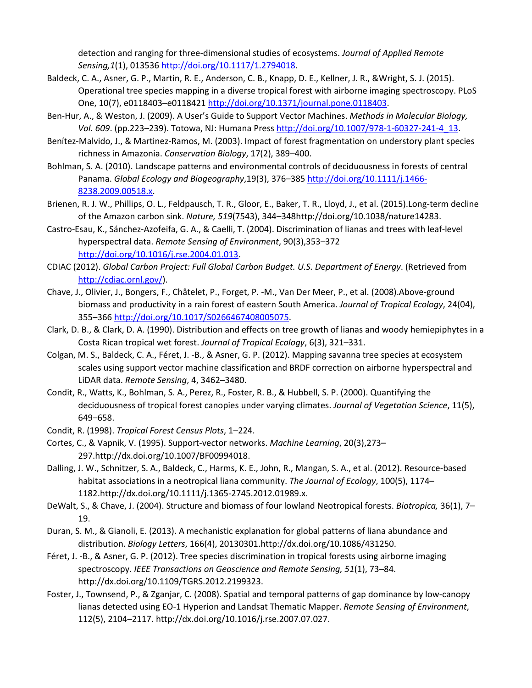detection and ranging for three-dimensional studies of ecosystems. *Journal of Applied Remote Sensing,1*(1), 01353[6 http://doi.org/10.1117/1.2794018.](http://doi.org/10.1117/1.2794018)

- Baldeck, C. A., Asner, G. P., Martin, R. E., Anderson, C. B., Knapp, D. E., Kellner, J. R., &Wright, S. J. (2015). Operational tree species mapping in a diverse tropical forest with airborne imaging spectroscopy. PLoS One, 10(7), e0118403–e0118421 [http://doi.org/10.1371/journal.pone.0118403.](http://doi.org/10.1371/journal.pone.0118403)
- Ben-Hur, A., & Weston, J. (2009). A User's Guide to Support Vector Machines. *Methods in Molecular Biology, Vol. 609*. (pp.223–239). Totowa, NJ: Humana Press [http://doi.org/10.1007/978-1-60327-241-4\\_13.](http://doi.org/10.1007/978-1-60327-241-4_13)
- Benítez-Malvido, J., & Martinez-Ramos, M. (2003). Impact of forest fragmentation on understory plant species richness in Amazonia. *Conservation Biology*, 17(2), 389–400.
- Bohlman, S. A. (2010). Landscape patterns and environmental controls of deciduousness in forests of central Panama. *Global Ecology and Biogeography*,19(3), 376–385 [http://doi.org/10.1111/j.1466-](http://doi.org/10.1111/j.1466-8238.2009.00518.x) [8238.2009.00518.x.](http://doi.org/10.1111/j.1466-8238.2009.00518.x)
- Brienen, R. J. W., Phillips, O. L., Feldpausch, T. R., Gloor, E., Baker, T. R., Lloyd, J., et al. (2015).Long-term decline of the Amazon carbon sink. *Nature, 519*(7543), 344–348http://doi.org/10.1038/nature14283.
- Castro-Esau, K., Sánchez-Azofeifa, G. A., & Caelli, T. (2004). Discrimination of lianas and trees with leaf-level hyperspectral data. *Remote Sensing of Environment*, 90(3),353–372 [http://doi.org/10.1016/j.rse.2004.01.013.](http://doi.org/10.1016/j.rse.2004.01.013)
- CDIAC (2012). *Global Carbon Project: Full Global Carbon Budget. U.S. Department of Energy*. (Retrieved from [http://cdiac.ornl.gov/\)](http://cdiac.ornl.gov/).
- Chave, J., Olivier, J., Bongers, F., Châtelet, P., Forget, P. -M., Van Der Meer, P., et al. (2008).Above-ground biomass and productivity in a rain forest of eastern South America. *Journal of Tropical Ecology*, 24(04), 355–366 [http://doi.org/10.1017/S0266467408005075.](http://doi.org/10.1017/S0266467408005075)
- Clark, D. B., & Clark, D. A. (1990). Distribution and effects on tree growth of lianas and woody hemiepiphytes in a Costa Rican tropical wet forest. *Journal of Tropical Ecology*, 6(3), 321–331.
- Colgan, M. S., Baldeck, C. A., Féret, J. -B., & Asner, G. P. (2012). Mapping savanna tree species at ecosystem scales using support vector machine classification and BRDF correction on airborne hyperspectral and LiDAR data. *Remote Sensing*, 4, 3462–3480.
- Condit, R., Watts, K., Bohlman, S. A., Perez, R., Foster, R. B., & Hubbell, S. P. (2000). Quantifying the deciduousness of tropical forest canopies under varying climates. *Journal of Vegetation Science*, 11(5), 649–658.
- Condit, R. (1998). *Tropical Forest Census Plots*, 1–224.
- Cortes, C., & Vapnik, V. (1995). Support-vector networks. *Machine Learning*, 20(3),273– 297.http://dx.doi.org/10.1007/BF00994018.
- Dalling, J. W., Schnitzer, S. A., Baldeck, C., Harms, K. E., John, R., Mangan, S. A., et al. (2012). Resource-based habitat associations in a neotropical liana community. *The Journal of Ecology*, 100(5), 1174– 1182.http://dx.doi.org/10.1111/j.1365-2745.2012.01989.x.
- DeWalt, S., & Chave, J. (2004). Structure and biomass of four lowland Neotropical forests. *Biotropica,* 36(1), 7– 19.
- Duran, S. M., & Gianoli, E. (2013). A mechanistic explanation for global patterns of liana abundance and distribution. *Biology Letters*, 166(4), 20130301.http://dx.doi.org/10.1086/431250.
- Féret, J. -B., & Asner, G. P. (2012). Tree species discrimination in tropical forests using airborne imaging spectroscopy. *IEEE Transactions on Geoscience and Remote Sensing, 51*(1), 73–84. http://dx.doi.org/10.1109/TGRS.2012.2199323.
- Foster, J., Townsend, P., & Zganjar, C. (2008). Spatial and temporal patterns of gap dominance by low-canopy lianas detected using EO-1 Hyperion and Landsat Thematic Mapper. *Remote Sensing of Environment*, 112(5), 2104–2117. http://dx.doi.org/10.1016/j.rse.2007.07.027.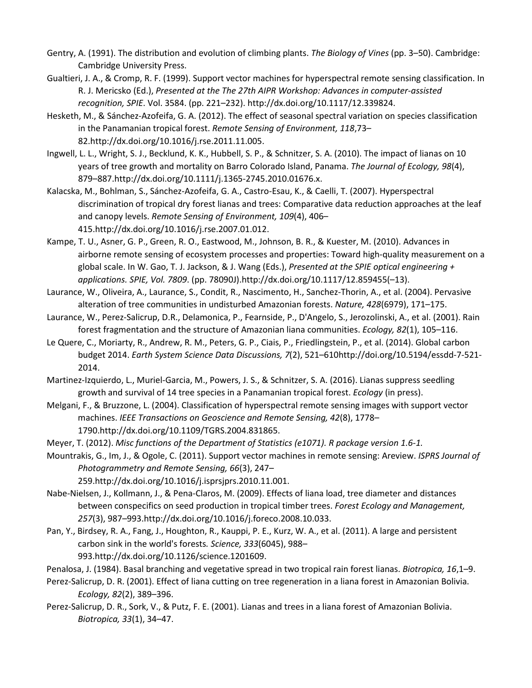- Gentry, A. (1991). The distribution and evolution of climbing plants. *The Biology of Vines* (pp. 3–50). Cambridge: Cambridge University Press.
- Gualtieri, J. A., & Cromp, R. F. (1999). Support vector machines for hyperspectral remote sensing classification. In R. J. Mericsko (Ed.), *Presented at the The 27th AIPR Workshop: Advances in computer-assisted recognition, SPIE*. Vol. 3584. (pp. 221–232). http://dx.doi.org/10.1117/12.339824.
- Hesketh, M., & Sánchez-Azofeifa, G. A. (2012). The effect of seasonal spectral variation on species classification in the Panamanian tropical forest. *Remote Sensing of Environment, 118*,73– 82.http://dx.doi.org/10.1016/j.rse.2011.11.005.
- Ingwell, L. L., Wright, S. J., Becklund, K. K., Hubbell, S. P., & Schnitzer, S. A. (2010). The impact of lianas on 10 years of tree growth and mortality on Barro Colorado Island, Panama. *The Journal of Ecology, 98*(4), 879–887.http://dx.doi.org/10.1111/j.1365-2745.2010.01676.x.
- Kalacska, M., Bohlman, S., Sánchez-Azofeifa, G. A., Castro-Esau, K., & Caelli, T. (2007). Hyperspectral discrimination of tropical dry forest lianas and trees: Comparative data reduction approaches at the leaf and canopy levels. *Remote Sensing of Environment, 109*(4), 406– 415.http://dx.doi.org/10.1016/j.rse.2007.01.012.
- Kampe, T. U., Asner, G. P., Green, R. O., Eastwood, M., Johnson, B. R., & Kuester, M. (2010). Advances in airborne remote sensing of ecosystem processes and properties: Toward high-quality measurement on a global scale. In W. Gao, T. J. Jackson, & J. Wang (Eds.), *Presented at the SPIE optical engineering + applications. SPIE, Vol. 7809*. (pp. 78090J).http://dx.doi.org/10.1117/12.859455(–13).
- Laurance, W., Oliveira, A., Laurance, S., Condit, R., Nascimento, H., Sanchez-Thorin, A., et al. (2004). Pervasive alteration of tree communities in undisturbed Amazonian forests. *Nature, 428*(6979), 171–175.
- Laurance, W., Perez-Salicrup, D.R., Delamonica, P., Fearnside, P., D'Angelo, S., Jerozolinski, A., et al. (2001). Rain forest fragmentation and the structure of Amazonian liana communities. *Ecology, 82*(1), 105–116.
- Le Quere, C., Moriarty, R., Andrew, R. M., Peters, G. P., Ciais, P., Friedlingstein, P., et al. (2014). Global carbon budget 2014. *Earth System Science Data Discussions, 7*(2), 521–610http://doi.org/10.5194/essdd-7-521- 2014.
- Martinez-Izquierdo, L., Muriel-Garcia, M., Powers, J. S., & Schnitzer, S. A. (2016). Lianas suppress seedling growth and survival of 14 tree species in a Panamanian tropical forest. *Ecology* (in press).
- Melgani, F., & Bruzzone, L. (2004). Classification of hyperspectral remote sensing images with support vector machines. *IEEE Transactions on Geoscience and Remote Sensing, 42*(8), 1778– 1790.http://dx.doi.org/10.1109/TGRS.2004.831865.
- Meyer, T. (2012). *Misc functions of the Department of Statistics (e1071). R package version 1.6-1.*
- Mountrakis, G., Im, J., & Ogole, C. (2011). Support vector machines in remote sensing: Areview. *ISPRS Journal of Photogrammetry and Remote Sensing, 66*(3), 247– 259.http://dx.doi.org/10.1016/j.isprsjprs.2010.11.001.
- Nabe-Nielsen, J., Kollmann, J., & Pena-Claros, M. (2009). Effects of liana load, tree diameter and distances between conspecifics on seed production in tropical timber trees. *Forest Ecology and Management, 257*(3), 987–993.http://dx.doi.org/10.1016/j.foreco.2008.10.033.
- Pan, Y., Birdsey, R. A., Fang, J., Houghton, R., Kauppi, P. E., Kurz, W. A., et al. (2011). A large and persistent carbon sink in the world's forests*. Science, 333*(6045), 988– 993.http://dx.doi.org/10.1126/science.1201609.
- Penalosa, J. (1984). Basal branching and vegetative spread in two tropical rain forest lianas. *Biotropica, 16*,1–9.
- Perez-Salicrup, D. R. (2001). Effect of liana cutting on tree regeneration in a liana forest in Amazonian Bolivia. *Ecology, 82*(2), 389–396.
- Perez-Salicrup, D. R., Sork, V., & Putz, F. E. (2001). Lianas and trees in a liana forest of Amazonian Bolivia. *Biotropica, 33*(1), 34–47.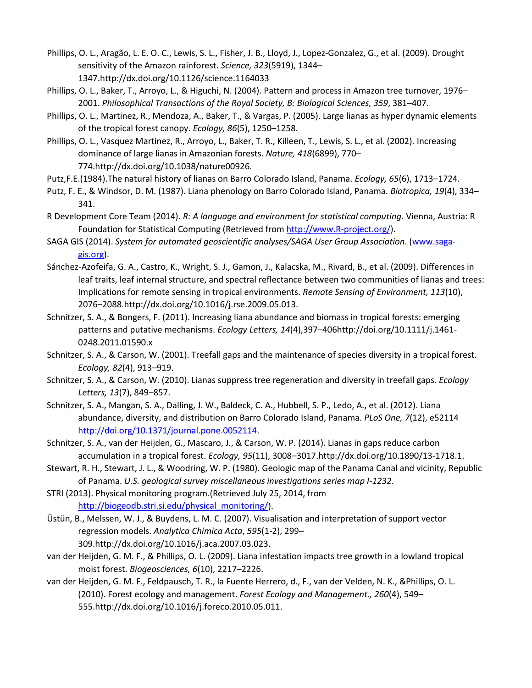- Phillips, O. L., Aragão, L. E. O. C., Lewis, S. L., Fisher, J. B., Lloyd, J., Lopez-Gonzalez, G., et al. (2009). Drought sensitivity of the Amazon rainforest. *Science, 323*(5919), 1344– 1347.http://dx.doi.org/10.1126/science.1164033
- Phillips, O. L., Baker, T., Arroyo, L., & Higuchi, N. (2004). Pattern and process in Amazon tree turnover, 1976– 2001. *Philosophical Transactions of the Royal Society, B: Biological Sciences, 359*, 381–407.
- Phillips, O. L., Martinez, R., Mendoza, A., Baker, T., & Vargas, P. (2005). Large lianas as hyper dynamic elements of the tropical forest canopy. *Ecology, 86*(5), 1250–1258.
- Phillips, O. L., Vasquez Martinez, R., Arroyo, L., Baker, T. R., Killeen, T., Lewis, S. L., et al. (2002). Increasing dominance of large lianas in Amazonian forests. *Nature, 418*(6899), 770– 774.http://dx.doi.org/10.1038/nature00926.
- Putz,F.E.(1984).The natural history of lianas on Barro Colorado Island, Panama. *Ecology, 65*(6), 1713–1724.
- Putz, F. E., & Windsor, D. M. (1987). Liana phenology on Barro Colorado Island, Panama. *Biotropica, 19*(4), 334– 341.
- R Development Core Team (2014). *R: A language and environment for statistical computing*. Vienna, Austria: R Foundation for Statistical Computing (Retrieved from [http://www.R-project.org/\)](http://www.r-project.org/).
- SAGA GIS (2014). *System for automated geoscientific analyses/SAGA User Group Association*. [\(www.saga](http://www.saga-gis.org/)[gis.org\)](http://www.saga-gis.org/).
- Sánchez-Azofeifa, G. A., Castro, K., Wright, S. J., Gamon, J., Kalacska, M., Rivard, B., et al. (2009). Differences in leaf traits, leaf internal structure, and spectral reflectance between two communities of lianas and trees: Implications for remote sensing in tropical environments. *Remote Sensing of Environment, 113*(10), 2076–2088.http://dx.doi.org/10.1016/j.rse.2009.05.013.
- Schnitzer, S. A., & Bongers, F. (2011). Increasing liana abundance and biomass in tropical forests: emerging patterns and putative mechanisms. *Ecology Letters, 14*(4),397–406http://doi.org/10.1111/j.1461- 0248.2011.01590.x
- Schnitzer, S. A., & Carson, W. (2001). Treefall gaps and the maintenance of species diversity in a tropical forest. *Ecology, 82*(4), 913–919.
- Schnitzer, S. A., & Carson, W. (2010). Lianas suppress tree regeneration and diversity in treefall gaps. *Ecology Letters, 13*(7), 849–857.
- Schnitzer, S. A., Mangan, S. A., Dalling, J. W., Baldeck, C. A., Hubbell, S. P., Ledo, A., et al. (2012). Liana abundance, diversity, and distribution on Barro Colorado Island, Panama. *PLoS One, 7*(12), e52114 [http://doi.org/10.1371/journal.pone.0052114.](http://doi.org/10.1371/journal.pone.0052114)
- Schnitzer, S. A., van der Heijden, G., Mascaro, J., & Carson, W. P. (2014). Lianas in gaps reduce carbon accumulation in a tropical forest. *Ecology, 95*(11), 3008–3017.http://dx.doi.org/10.1890/13-1718.1.
- Stewart, R. H., Stewart, J. L., & Woodring, W. P. (1980). Geologic map of the Panama Canal and vicinity, Republic of Panama. *U.S. geological survey miscellaneous investigations series map I-1232*.
- STRI (2013). Physical monitoring program.(Retrieved July 25, 2014, from [http://biogeodb.stri.si.edu/physical\\_monitoring/\)](http://biogeodb.stri.si.edu/physical_monitoring/).
- Üstün, B., Melssen, W. J., & Buydens, L. M. C. (2007). Visualisation and interpretation of support vector regression models. *Analytica Chimica Acta*, *595*(1-2), 299– 309.http://dx.doi.org/10.1016/j.aca.2007.03.023.
- van der Heijden, G. M. F., & Phillips, O. L. (2009). Liana infestation impacts tree growth in a lowland tropical moist forest. *Biogeosciences, 6*(10), 2217–2226.
- van der Heijden, G. M. F., Feldpausch, T. R., la Fuente Herrero, d., F., van der Velden, N. K., &Phillips, O. L. (2010). Forest ecology and management. *Forest Ecology and Management., 260*(4), 549– 555.http://dx.doi.org/10.1016/j.foreco.2010.05.011.